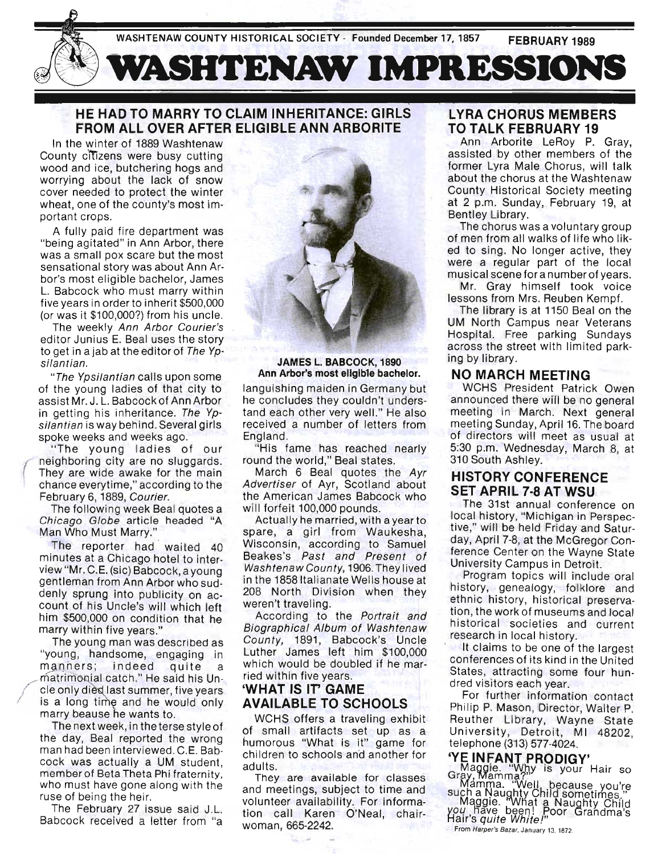WASHTENAW COUNTY HISTORICAL SOCIETY - Founded December 17, 1857 **FEBRUARY 1989** 



## **HE HAD TO MARRY TO CLAIM INHERITANCE: GIRLS FROM ALL OVER AFTER ELIGIBLE ANN ARBORITE**

In the winter of 1889 Washtenaw County citizens were busy cutting wood and ice, butchering hogs and worrying about the lack of snow cover needed to protect the winter wheat, one of the county's most important crops.

A fully paid fire department was "being agitated" in Ann Arbor, there was a small pox scare but the most sensational story was about Ann Arbor's most eligible bachelor, James L. Babcock who must marry within five years in order to inherit \$500,000 (or was it \$100,000?) from his uncle.

The weekly Ann Arbor Courier's editor Junius E. Beal uses the story to get in a jab at the editor of The Ypsilantian.

" The Ypsilantian calls upon some of the young ladies of that city to assist Mr. J. L. Babcock of Ann Arbor in getting his inheritance. The Ypsilantian is way behind. Several girls spoke weeks and weeks ago.

" The young ladies of our neighboring city are no sluggards. They are wide awake for the main chance every time," according to the February 6, 1889, Courier.

The following week Beal quotes a Chicago Globe article headed "A Man Who Must Marry."

The reporter had waited 40 minutes at a Chicago hotel to interview "Mr. C.E. (sic) Babcock, a young gentleman from Ann Arbor who suddenly sprung into publicity on account of his Uncle's will which left him \$500,000 on condition that he marry within five years."

The young man was described as "young , handsome, engaging in young, nandoomo, ongaging in *.*<br>nanners : indeed quite a manners; indeed quite a<br>matrimonial catch." He said his Un-<br>cle only died last summer, five years is a long time and he would only marry beause he wants to.

The next week, in the terse style of the day, Beal reported the wrong man had been interviewed. C.E. Babcock was actually a UM student, member of Beta Theta Phi fraternity. who must have gone along with the ruse of being the heir.

The February 27 issue said J.L. Babcock received a letter from "a



## **JAMES L. BABCOCK, 1890 Ann Arbor's most eligible bachelor.**

languishing maiden in Germany but he concludes they couldn't understand each other very well." He also received a number of letters from England.

"His fame has reached nearly round the world," Beal states.

March 6 Beal quotes the Ayr Advertiser of Ayr, Scotland about the American James Babcock who will forfeit 100,000 pounds.

Actually he married, with a year to spare, a girl from Waukesha, Wisconsin, according to Samuel Beakes's Past and Present of Washtenaw County, 1906. They lived in the 1858 Italianate Wells house at 208 North Division when they weren't traveling.

According to the Portrait and Biographical Album of Washtenaw County, 1891, Babcock's Uncle Luther James left him \$100,000 which would be doubled if he married within five years.

## **'WHAT IS IT' GAME AVAILABLE TO SCHOOLS**

WCHS offers a traveling exhibit of small artifacts set up as a humorous "What is it" game for children to schools and another for adults.

They are available for classes and meetings, subject to time and volunteer availability. For information call Karen O'Neal, chairwoman, 665-2242.

## **LYRA CHORUS MEMBERS TO TALK FEBRUARY 19**

Ann Arborite LeRoy P. Gray, assisted by other members of the former Lyra Male Chorus, will talk about the chorus at the Washtenaw County Historical SOCiety meeting at 2 p.m. Sunday, February 19, at Bentley Library.

The chorus was a voluntary group of men from all walks of life who liked to sing. No longer active, they were a regular part of the local musical scene for a number of years.

Mr. Gray himself took voice lessons from Mrs. Reuben Kempf.

The library is at 1150 Beal on the UM North Campus near Veterans Hospital. Free parking Sundays across the street with limited parking by library.

## **NO MARCH MEETING**

WCHS President Patrick Owen announced there will be no general meeting in March. Next general meeting Sunday, April 16. The board of directors will meet as usual at 5:30 p.m. Wednesday, March 8, at 310 South Ashley.

## **HISTORY CONFERENCE SET APRIL 7·8 AT WSU**

The 31st annual conference on local history, "Michigan in Perspective," will be held Friday and Saturday, April 7-8, at the McGregor Conference Center on the Wayne State University Campus in Detroit.

Program topics will include oral history, genealogy, folklore and ethnic history, historical preservation , the work of museums and local historical societies and current research in local history.

It claims to be one of the largest conferences of its kind in the United States, attracting some four hundred visitors each year.

For further information contact Philip P. Mason, Director, Walter P. Reuther Library, Wayne State University, Detroit, MI 48202, telephone (313) 577-4024.

# **eYE INFANT PRODIGY'**

**COMAGE "Whit NODIG IT"**<br>GMAGGIE. "Why is your Hair so

Mamma. "Well because you're such a ~auglJty Child sometimes." Maggie. "VVnat a Naughty Child *Y94 Fiave* been! Poor Grandma's White White White White White<br>Hair's quite White!"<br>From Harper's Bazar, January 14, 1872.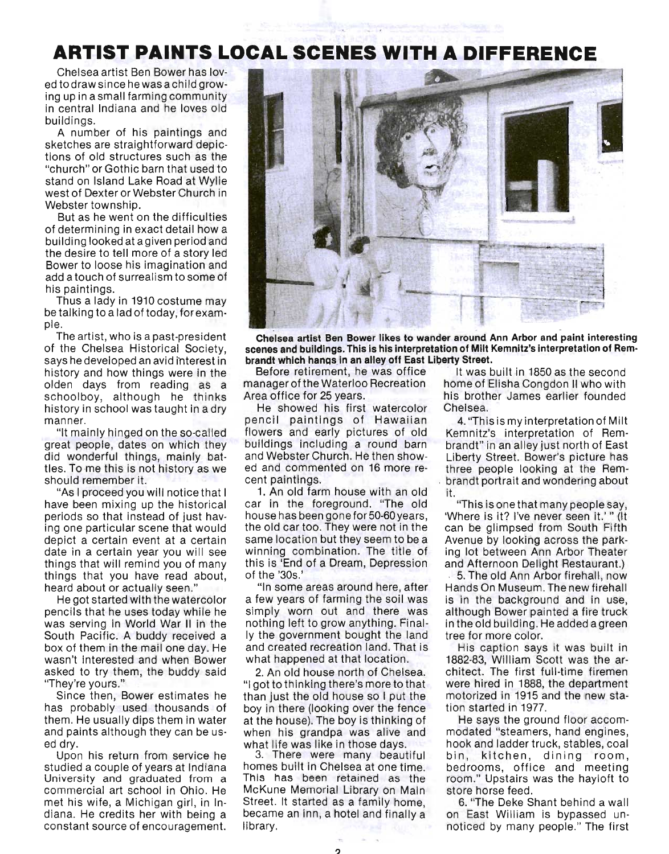# **ARTIST PAINTS LOCAL SCENES WITH A DIFFERENCE**

Chelsea artist Ben Bower has loved todraw since he was achild growing up in a small farming community in central Indiana and he loves old buildings.

A number of his paintings and sketches are straightforward depictions of old structures such as the "church" or Gothic barn that used to stand on Island Lake Road at Wylie west of Dexter or Webster Church in Webster township.

But as he went on the difficulties of determining in exact detail how a building looked at agiven period and the desire to tell more of a story led Bower to loose his imagination and add a touch of surrealism to some of his paintings.

Thus a lady in 1910 costume may be talking to a lad of today, for exampie.

The artist, who is a past-president of the Chelsea Historical Society, says he developed an avid interest in history and how things were in the olden days from reading as a schoolboy, although he thinks history in school was taught in a dry manner.

"It mainly hinged on the so-called great people, dates on which they did wonderful things, mainly battles. To me this is not history as we should remember it.

"As I proceed you will notice that I have been mixing up the historical periods so that instead of just having one particular scene that would depict a certain event at a certain date in a certain year you will see things that will remind you of many things that you have read about, heard about or actually seen."

He got started with the watercolor pencils that he uses today while he was serving in World War II in the South Pacific. A buddy received a box of them in the mail one day. He wasn't interested and when Bower asked to try them, the buddy said "They're yours."

Since then, Bower estimates he has probably used thousands of them. He usually dips them in water and paints although they can be used dry.

Upon his return from service he studied a couple of years at Indiana University and graduated from a commercial art school in Ohio. He met his wife, a Michigan girl, in Indiana. He credits her with being a constant source of encouragement.



Chelsea artist Ben Bower likes to wander around Ann Arbor and paint interesting scenes and buildings. This is his interpretation of Milt Kemnitz's interpretation of Rembrandt which hangs in an alley off East Liberty Street.

Before retirement, he was office manager of the Waterloo Recreation Area office for 25 years.

He showed his first watercolor pencil paintings of Hawaiian flowers and early pictures of old buildings including a round barn and Webster Church. He then showed and commented on 16 more recent paintings.

1. An old farm house with an old car in the foreground. "The old house has been gone for 50-60 years, the old car too. They were not in the same location but they seem to be a winning combination. The title of this is 'End of a Dream, Depression of the '30s.'

"In some areas around here, after a few years of farming the soil was simply worn out and there was nothing left to grow anything. Finally the government bought the land and created recreation land. That is what happened at that location.

2. An old house north of Chelsea. "I got to thinking there's more to that than just the old house so I put the boy in there (looking over the fence at the house). The boy is thinking of when his grandpa was alive and what life was like in those days.

3. There were many beautiful homes built in Chelsea at one time. This has been retained as the McKune Memorial Library on Main Street. It started as a family home, became an inn, a hotel and finally a library.

It was built in 1850 as the second home of Elisha Congdon II who with his brother James earlier founded Chelsea.

4. "This is my interpretation of Milt Kemnitz's interpretation of Rembrandt" in an alley just north of East Liberty Street. Bower's picture has three people looking at the Rem- , brandt portrait and wondering about it.

"This is one that many people say, 'Where is it? I've never seen it.' " (It can be glimpsed from South Fifth Avenue by looking across the parking lot between Ann Arbor Theater and Afternoon Delight Restaurant.)

5. The old Ann Arbor firehall, now Hands On Museum. The new firehall is in the background and in use, although Bower painted a fire truck in the old building. He added a green tree for more color.

His caption says it was built in 1882-83, William Scott was the architect. The first full-time firemen were hired in 1888, the department motorized in 1915 and the new station started in 1977.

He says the ground floor accommodated "steamers, hand engines, hook and ladder truck, stables, coal bin, kitchen, dining room, bedrooms, office and meeting room." Upstairs was the hayloft to store horse feed.

6. "The Deke Shant behind a wall on East William is bypassed unnoticed by many people." The first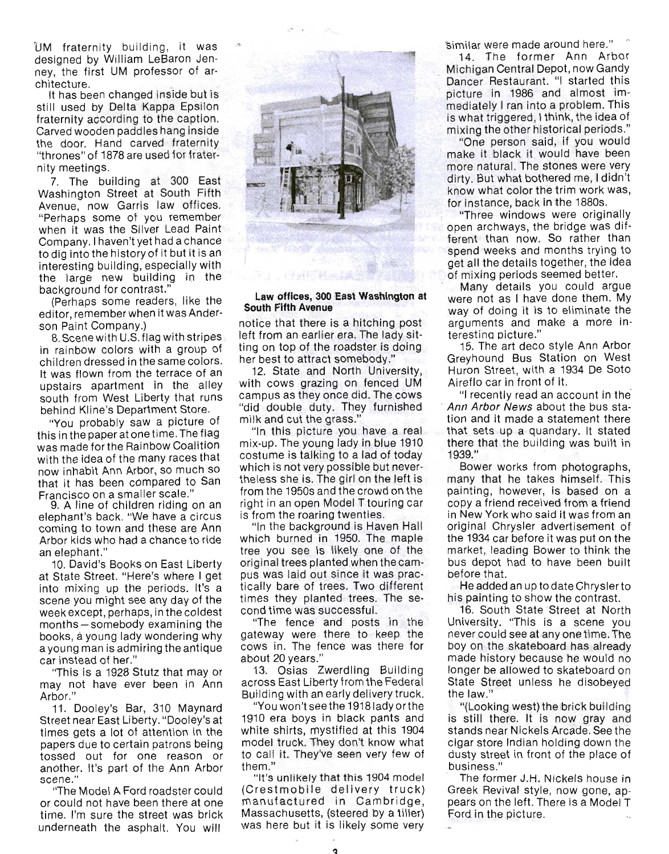UM fraternity building, it was designed by William LeBaron Jenney, the first UM professor of architecture. \_

It has been changed inside but is still used by Delta Kappa Epsilon fraternity according to the caption. Carved wooden paddles hang inside the door. Hand carved fraternity "thrones" of 1878 are used for fraternity meetings.

7. The building at 300 East Washington Street at South Fifth Avenue, now Garris law offices. "Perhaps some of you remember when it was the Silver Lead Paint Company. I haven't yet had a chance to dig into the history of it but it is an interesting building, especially with the large new building in the background for contrast."

(Perhaps some readers, like the editor, remember when it was Anderson Paint Company.)

8. Scene with U.S. flag with stripes in rainbow colors with a group of children dressed in the same colors. It was flown from the terrace of an upstairs apartment in the alley south from West Liberty that runs behind Kline's Department Store.

"You probably saw a picture of this in the paper at one time. The flag was made for the Rainbow Coalition with the idea of the many races that now inhabit Ann Arbor, so much so that it has been compared to San Francisco on a smaller scale."

9. A line of children riding on an elephant's back. "We have a circus coming to town and these are Ann Arbor kids who had a chance to ride an elephant."

10. David's Books on East Liberty at State Street. "Here's where I get into mixing up the periods. It's a scene you might see any day of the week except, perhaps, in the coldest months-somebody examining the books, a young lady wondering why a young man is admiring the antique car instead of her."

"This is a 1928 Stutz that mayor may not have ever been in Ann Arbor."

11. Dooley's Bar, 310 Maynard Street near East Liberty. "Dooley's at times gets a lot of attention in the papers due to certain patrons being tossed out for one reason or another. It's part of the Ann Arbor scene."

"The Model A Ford roadster could or could not have been there at one time. I'm sure the street was brick ,underneath the asphalt. You will



## **Law offices, 300 East Washington at South Fifth Avenue**

notice that there is a hitching post left from an earlier era. The lady sitting on top of the roadster is doing her best to attract somebody."

12. State and North University, with cows grazing on fenced UM campus as they once did. The cows "did double duty. They furnished milk and cut the grass."

"In this picture you have a real mix-up. The young lady in blue 1910 costume is talking to a lad of today which is not very possible but nevertheless she is. The girl on the left is from the 1950s and the crowd on the right in an open Model T touring car is from the roaring twenties.

"In the background is Haven Hall which burned in 1950. The maple tree you see is likely one of the original trees planted when the campus was laid out since it was prac tically bare of trees. Two different times they planted trees. The second time was successful.

"The fence and posts in the gateway were there to keep the cows in. The fence was there for about 20 years."

13. Osias Zwerdling Building across East Liberty from the Federal Building with an early delivery truck.

"You won't seethe 19181adyorthe 1910 era boys in black pants and white shirts, mystified at this 1904 model truck. They don't know what to call it. They've seen very few of them."

"It's unlikely that this 1904 model (Crestmobile delivery truck) manufactured in Cambridge, Massachusetts, (steered by a tiller) was here but it is likely some very

'Si milar were made around here."

14. The former Ann Arbor Michigan Central Depot, now Gandy Dancer Restaurant. "I started this picture in 1986 and almost immediately I ran into a problem. This is what triggered, I think, the idea of mixing the other historical periods."

"One person said, if you would make it black it would have been more natural. The stones were very dirty. But what bothered me, I didn't know what color the trim work was, for instance, back in the 1880s.

"Three windows were originally open archways, the bridge was different than now. So rather than spend weeks and months trying to get all the details together; the idea of mixing periods seemed better.

Many details you could argue were not as I have done them. My way of doing it is to eliminate the arguments and make a more interestina picture."

15. The art deco style Ann Arbor Greyhound Bus Station on West Huron Street, with a 1934 De Soto Aireflo car in front of it.

"I recently read an account in the-Ann Arbor News about the bus station and it made a statement there that sets up a quandary. It stated there that the building was built in 1939."

Bower works from photographs, many that he takes himself. This painting, however, is based on a copy a friend received from a friend in New York who said it was from an original Chrysler advertisement of the 1934 car before it was put on the market, leading Bower to think the bus depot had to have been built before that.

He added an up todate Chryslerto his painting to show the contrast.

16. South State Street at North University. "This is a scene you never could see at anyone time. The boy on the skateboard has already made history because he would no longer be allowed to skateboard on State Street unless he disobeyed the law."

"(Looking west) the brick building is still there. It is now gray and stands near Nickels Arcade. See the cigar store Indian holding down the dusty street in front of the place of business."

The former J.H. Nickels house in Greek Revival style, now gone, appears on the left. There is a Model T Ford in the picture.